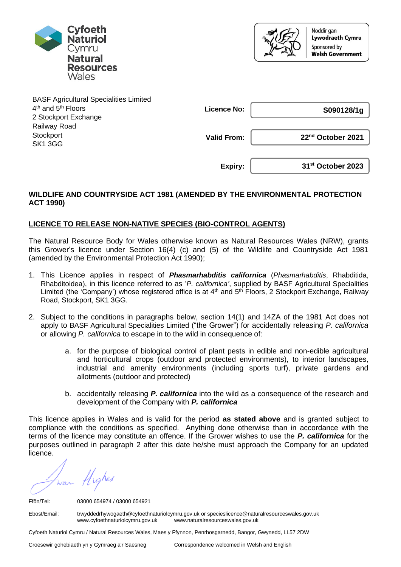



| <b>BASF Agricultural Specialities Limited</b> |                    |                               |
|-----------------------------------------------|--------------------|-------------------------------|
| 4 <sup>th</sup> and 5 <sup>th</sup> Floors    | <b>Licence No:</b> | S090128/1g                    |
| 2 Stockport Exchange                          |                    |                               |
| Railway Road                                  |                    |                               |
| Stockport                                     | <b>Valid From:</b> | 22 <sup>nd</sup> October 2021 |
| <b>SK1 3GG</b>                                |                    |                               |
|                                               |                    |                               |
|                                               | Expiry:            | 31 <sup>st</sup> October 2023 |

## **WILDLIFE AND COUNTRYSIDE ACT 1981 (AMENDED BY THE ENVIRONMENTAL PROTECTION ACT 1990)**

## **LICENCE TO RELEASE NON-NATIVE SPECIES (BIO-CONTROL AGENTS)**

The Natural Resource Body for Wales otherwise known as Natural Resources Wales (NRW), grants this Grower's licence under Section 16(4) (c) and (5) of the Wildlife and Countryside Act 1981 (amended by the Environmental Protection Act 1990);

- 1. This Licence applies in respect of *Phasmarhabditis californica* (*Phasmarhabditis*, Rhabditida, Rhabditoidea), in this licence referred to as '*P. californica'*, supplied by BASF Agricultural Specialities Limited (the 'Company') whose registered office is at 4<sup>th</sup> and 5<sup>th</sup> Floors, 2 Stockport Exchange, Railway Road, Stockport, SK1 3GG.
- 2. Subject to the conditions in paragraphs below, section 14(1) and 14ZA of the 1981 Act does not apply to BASF Agricultural Specialities Limited ("the Grower") for accidentally releasing *P. californica* or allowing *P. californica* to escape in to the wild in consequence of:
	- a. for the purpose of biological control of plant pests in edible and non-edible agricultural and horticultural crops (outdoor and protected environments), to interior landscapes, industrial and amenity environments (including sports turf), private gardens and allotments (outdoor and protected)
	- b. accidentally releasing *P. californica* into the wild as a consequence of the research and development of the Company with *P. californica*

This licence applies in Wales and is valid for the period **as stated above** and is granted subject to compliance with the conditions as specified. Anything done otherwise than in accordance with the terms of the licence may constitute an offence. If the Grower wishes to use the *P. californica* for the purposes outlined in paragraph 2 after this date he/she must approach the Company for an updated licence.

war fligher

Ffôn/Tel: 03000 654974 / 03000 654921

Ebost/Email: trwyddedrhywogaeth@cyfoethnaturiolcymru.gov.uk or specieslicence@naturalresourceswales.gov.uk www.naturalresourceswales.gov.uk

Cyfoeth Naturiol Cymru / Natural Resources Wales, Maes y Ffynnon, Penrhosgarnedd, Bangor, Gwynedd, LL57 2DW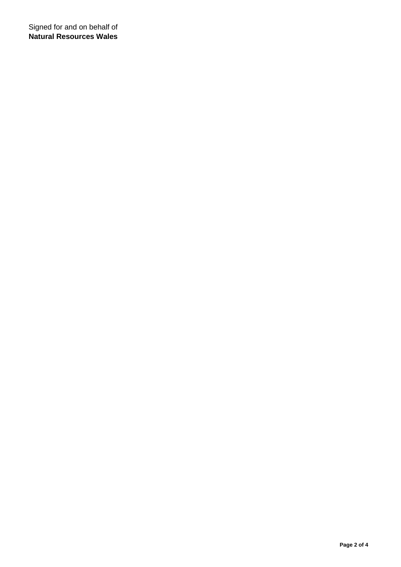Signed for and on behalf of **Natural Resources Wales**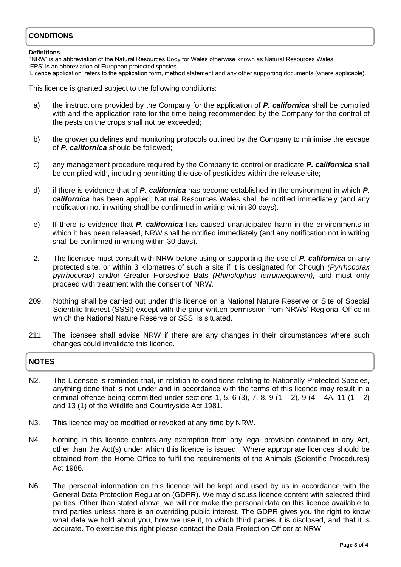# **CONDITIONS**

### **Definitions**

''NRW' is an abbreviation of the Natural Resources Body for Wales otherwise known as Natural Resources Wales 'EPS' is an abbreviation of European protected species

'Licence application' refers to the application form, method statement and any other supporting documents (where applicable).

This licence is granted subject to the following conditions:

- a) the instructions provided by the Company for the application of *P. californica* shall be complied with and the application rate for the time being recommended by the Company for the control of the pests on the crops shall not be exceeded;
- b) the grower guidelines and monitoring protocols outlined by the Company to minimise the escape of *P. californica* should be followed;
- c) any management procedure required by the Company to control or eradicate *P. californica* shall be complied with, including permitting the use of pesticides within the release site;
- d) if there is evidence that of *P. californica* has become established in the environment in which *P. californica* has been applied, Natural Resources Wales shall be notified immediately (and any notification not in writing shall be confirmed in writing within 30 days).
- e) If there is evidence that *P. californica* has caused unanticipated harm in the environments in which it has been released, NRW shall be notified immediately (and any notification not in writing shall be confirmed in writing within 30 days).
- 2. The licensee must consult with NRW before using or supporting the use of *P. californica* on any protected site, or within 3 kilometres of such a site if it is designated for Chough *(Pyrrhocorax pyrrhocorax)* and/or Greater Horseshoe Bats *(Rhinolophus ferrumequinem),* and must only proceed with treatment with the consent of NRW.
- 209. Nothing shall be carried out under this licence on a National Nature Reserve or Site of Special Scientific Interest (SSSI) except with the prior written permission from NRWs' Regional Office in which the National Nature Reserve or SSSI is situated.
- 211. The licensee shall advise NRW if there are any changes in their circumstances where such changes could invalidate this licence.

# **NOTES**

- N2. The Licensee is reminded that, in relation to conditions relating to Nationally Protected Species, anything done that is not under and in accordance with the terms of this licence may result in a criminal offence being committed under sections 1, 5, 6 (3), 7, 8, 9 (1 – 2), 9 (4 – 4A, 11 (1 – 2) and 13 (1) of the Wildlife and Countryside Act 1981.
- N3. This licence may be modified or revoked at any time by NRW.
- N4. Nothing in this licence confers any exemption from any legal provision contained in any Act, other than the Act(s) under which this licence is issued. Where appropriate licences should be obtained from the Home Office to fulfil the requirements of the Animals (Scientific Procedures) Act 1986.
- N6. The personal information on this licence will be kept and used by us in accordance with the General Data Protection Regulation (GDPR). We may discuss licence content with selected third parties. Other than stated above, we will not make the personal data on this licence available to third parties unless there is an overriding public interest. The GDPR gives you the right to know what data we hold about you, how we use it, to which third parties it is disclosed, and that it is accurate. To exercise this right please contact the Data Protection Officer at NRW.